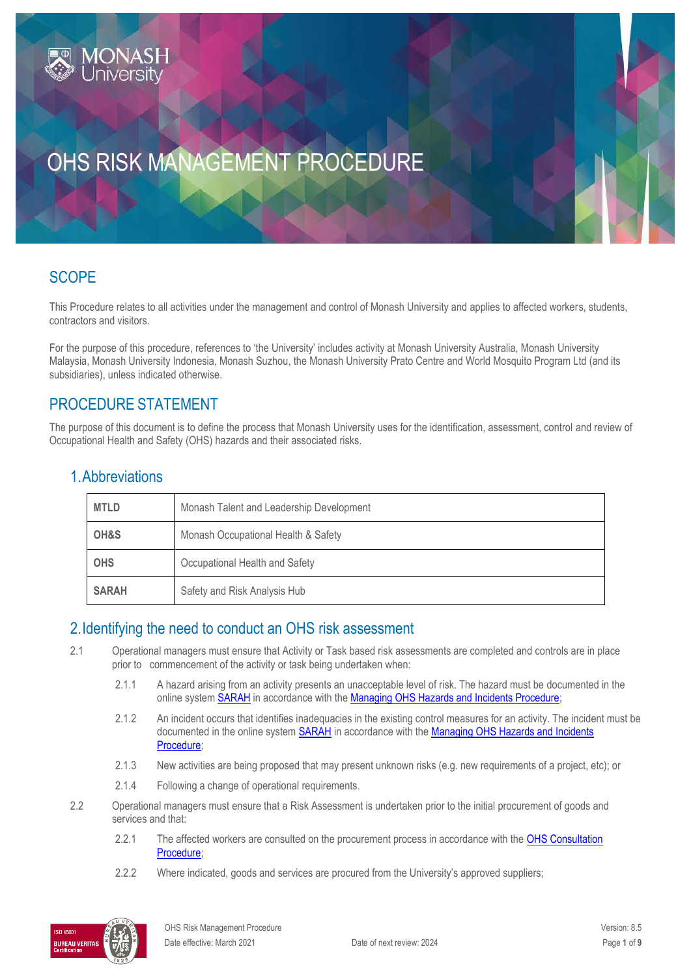# OHS RISK MANAGEMENT PROCEDURE

### **SCOPE**

This Procedure relates to all activities under the management and control of Monash University and applies to affected workers, students, contractors and visitors.

For the purpose of this procedure, references to 'the University' includes activity at Monash University Australia, Monash University Malaysia, Monash University Indonesia, Monash Suzhou, the Monash University Prato Centre and World Mosquito Program Ltd (and its subsidiaries), unless indicated otherwise.

#### PROCEDURE STATEMENT

The purpose of this document is to define the process that Monash University uses for the identification, assessment, control and review of Occupational Health and Safety (OHS) hazards and their associated risks.

#### 1.Abbreviations

| <b>MTLD</b>                                  | Monash Talent and Leadership Development |  |
|----------------------------------------------|------------------------------------------|--|
| OH&S                                         | Monash Occupational Health & Safety      |  |
| <b>OHS</b>                                   | Occupational Health and Safety           |  |
| <b>SARAH</b><br>Safety and Risk Analysis Hub |                                          |  |

#### 2.Identifying the need to conduct an OHS risk assessment

- 2.1 Operational managers must ensure that Activity or Task based risk assessments are completed and controls are in place prior to commencement of the activity or task being undertaken when:
	- 2.1.1 A hazard arising from an activity presents an unacceptable level of risk. The hazard must be documented in the online syste[m SARAH](https://www.monash.edu/ohs/sarah) in accordance with the [Managing OHS Hazards and Incidents Procedure;](https://publicpolicydms.monash.edu/Monash/documents/1935623)
	- 2.1.2 An incident occurs that identifies inadequacies in the existing control measures for an activity. The incident must be documented in the online system **SARAH** in accordance with the Managing OHS Hazards and Incidents [Procedure;](https://publicpolicydms.monash.edu/Monash/documents/1935623)
	- 2.1.3 New activities are being proposed that may present unknown risks (e.g. new requirements of a project, etc); or
	- 2.1.4 Following a change of operational requirements.
- 2.2 Operational managers must ensure that a Risk Assessment is undertaken prior to the initial procurement of goods and services and that:
	- 2.2.1 The affected workers are consulted on the procurement process in accordance with the OHS Consultation [Procedure;](https://publicpolicydms.monash.edu/Monash/documents/1935625)
	- 2.2.2 Where indicated, goods and services are procured from the University's approved suppliers;

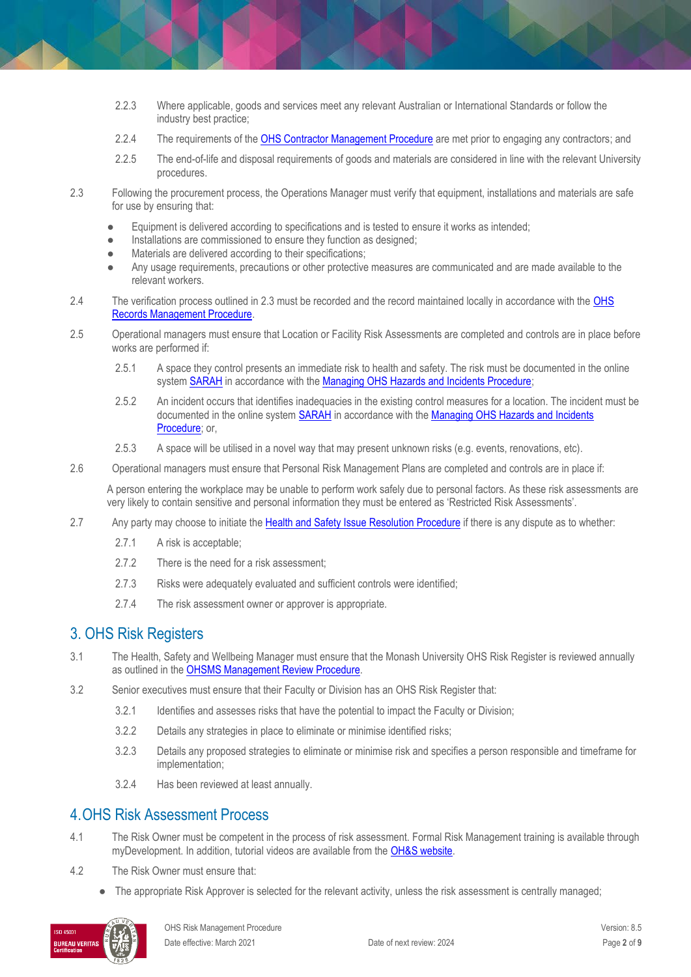- 2.2.3 Where applicable, goods and services meet any relevant Australian or International Standards or follow the industry best practice;
- 2.2.4 The requirements of th[e OHS Contractor Management Procedure](https://publicpolicydms.monash.edu/Monash/documents/1935599) are met prior to engaging any contractors; and
- 2.2.5 The end-of-life and disposal requirements of goods and materials are considered in line with the relevant University procedures.
- 2.3 Following the procurement process, the Operations Manager must verify that equipment, installations and materials are safe for use by ensuring that:
	- Equipment is delivered according to specifications and is tested to ensure it works as intended;
	- Installations are commissioned to ensure they function as designed;
	- Materials are delivered according to their specifications;
	- Any usage requirements, precautions or other protective measures are communicated and are made available to the relevant workers.
- 2.4 The verification process outlined in 2.3 must be recorded and the record maintained locally in accordance with the [OHS](https://publicpolicydms.monash.edu/Monash/documents/1935642)  [Records Management Procedure.](https://publicpolicydms.monash.edu/Monash/documents/1935642)
- 2.5 Operational managers must ensure that Location or Facility Risk Assessments are completed and controls are in place before works are performed if:
	- 2.5.1 A space they control presents an immediate risk to health and safety. The risk must be documented in the online syste[m SARAH](https://www.monash.edu/ohs/sarah) in accordance with the [Managing OHS Hazards and Incidents Procedure;](https://publicpolicydms.monash.edu/Monash/documents/1935623)
	- 2.5.2 An incident occurs that identifies inadequacies in the existing control measures for a location. The incident must be documented in the online syste[m SARAH](https://www.monash.edu/ohs/sarah) in accordance with the [Managing OHS Hazards and Incidents](https://publicpolicydms.monash.edu/Monash/documents/1935623)  [Procedure;](https://publicpolicydms.monash.edu/Monash/documents/1935623) or,
	- 2.5.3 A space will be utilised in a novel way that may present unknown risks (e.g. events, renovations, etc).
- 2.6 Operational managers must ensure that Personal Risk Management Plans are completed and controls are in place if:

A person entering the workplace may be unable to perform work safely due to personal factors. As these risk assessments are very likely to contain sensitive and personal information they must be entered as 'Restricted Risk Assessments'.

- 2.7 Any party may choose to initiate the [Health and Safety Issue](https://publicpolicydms.monash.edu/Monash/documents/1935619) Resolution Procedure if there is any dispute as to whether:
	- 2.7.1 A risk is acceptable;
	- 2.7.2 There is the need for a risk assessment;
	- 2.7.3 Risks were adequately evaluated and sufficient controls were identified;
	- 2.7.4 The risk assessment owner or approver is appropriate.

#### 3. OHS Risk Registers

- 3.1 The Health, Safety and Wellbeing Manager must ensure that the Monash University OHS Risk Register is reviewed annually as outlined in the [OHSMS Management Review Procedure.](https://publicpolicydms.monash.edu/Monash/documents/1935635)
- 3.2 Senior executives must ensure that their Faculty or Division has an OHS Risk Register that:
	- 3.2.1 Identifies and assesses risks that have the potential to impact the Faculty or Division;
	- 3.2.2 Details any strategies in place to eliminate or minimise identified risks;
	- 3.2.3 Details any proposed strategies to eliminate or minimise risk and specifies a person responsible and timeframe for implementation;
	- 3.2.4 Has been reviewed at least annually.

#### 4.OHS Risk Assessment Process

- 4.1 The Risk Owner must be competent in the process of risk assessment. Formal Risk Management training is available through myDevelopment. In addition, tutorial videos are available from the **OH&S website.**
- 4.2 The Risk Owner must ensure that:
	- The appropriate Risk Approver is selected for the relevant activity, unless the risk assessment is centrally managed;

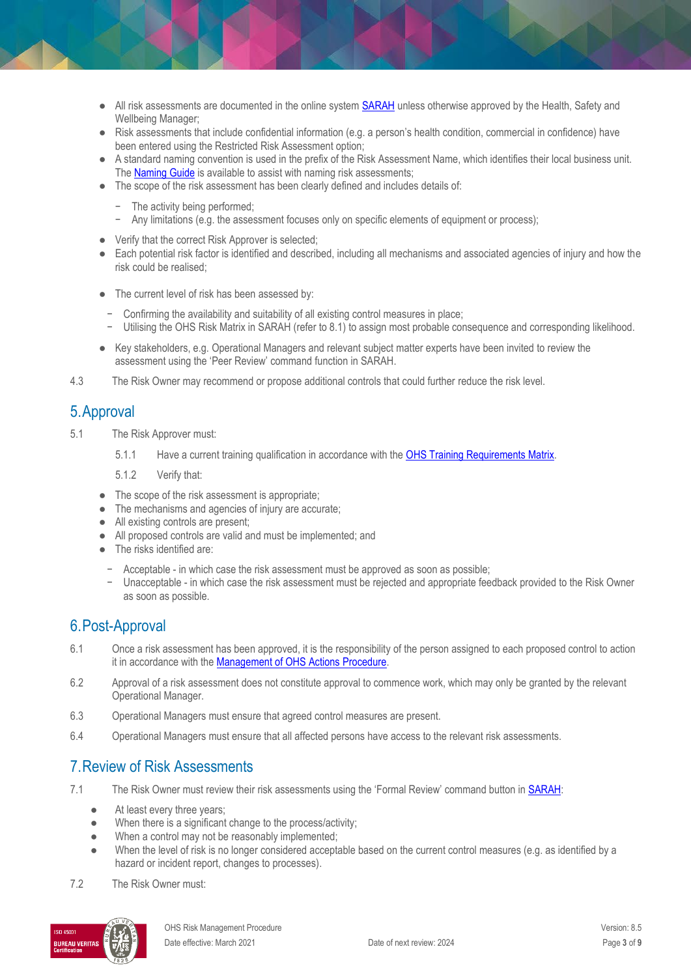- All risk assessments are documented in the online system **SARAH** unless otherwise approved by the Health, Safety and Wellbeing Manager;
- Risk assessments that include confidential information (e.g. a person's health condition, commercial in confidence) have been entered using the Restricted Risk Assessment option;
- A standard naming convention is used in the prefix of the Risk Assessment Name, which identifies their local business unit. Th[e Naming Guide](https://www.monash.edu/__data/assets/pdf_file/0004/803128/SARAH-Risk-Naming-Advice.pdf) is available to assist with naming risk assessments;
- The scope of the risk assessment has been clearly defined and includes details of:
	- The activity being performed;
	- Any limitations (e.g. the assessment focuses only on specific elements of equipment or process);
- Verify that the correct Risk Approver is selected;
- Each potential risk factor is identified and described, including all mechanisms and associated agencies of injury and how the risk could be realised;
- The current level of risk has been assessed by:
	- − Confirming the availability and suitability of all existing control measures in place;
- − Utilising the OHS Risk Matrix in SARAH (refer to 8.1) to assign most probable consequence and corresponding likelihood.
- Key stakeholders, e.g. Operational Managers and relevant subject matter experts have been invited to review the assessment using the 'Peer Review' command function in SARAH.
- 4.3 The Risk Owner may recommend or propose additional controls that could further reduce the risk level.

#### 5.Approval

- 5.1 The Risk Approver must:
	- 5.1.1 Have a current training qualification in accordance with the [OHS Training Requirements Matrix.](https://www.monash.edu/__data/assets/pdf_file/0004/496030/ohs-training-guide.pdf)
	- 5.1.2 Verify that:
	- The scope of the risk assessment is appropriate;
	- The mechanisms and agencies of injury are accurate;
	- All existing controls are present;
	- All proposed controls are valid and must be implemented; and
	- The risks identified are:
		- − Acceptable in which case the risk assessment must be approved as soon as possible;
		- − Unacceptable in which case the risk assessment must be rejected and appropriate feedback provided to the Risk Owner as soon as possible.

#### 6.Post-Approval

- 6.1 Once a risk assessment has been approved, it is the responsibility of the person assigned to each proposed control to action it in accordance with the **Management of OHS Actions Procedure**.
- 6.2 Approval of a risk assessment does not constitute approval to commence work, which may only be granted by the relevant Operational Manager.
- 6.3 Operational Managers must ensure that agreed control measures are present.
- 6.4 Operational Managers must ensure that all affected persons have access to the relevant risk assessments.

#### 7.Review of Risk Assessments

- 7.1 The Risk Owner must review their risk assessments using the 'Formal Review' command button in **SARAH**:
	- At least every three years;
	- When there is a significant change to the process/activity;
	- When a control may not be reasonably implemented;
	- When the level of risk is no longer considered acceptable based on the current control measures (e.g. as identified by a hazard or incident report, changes to processes).
- 7.2 The Risk Owner must:

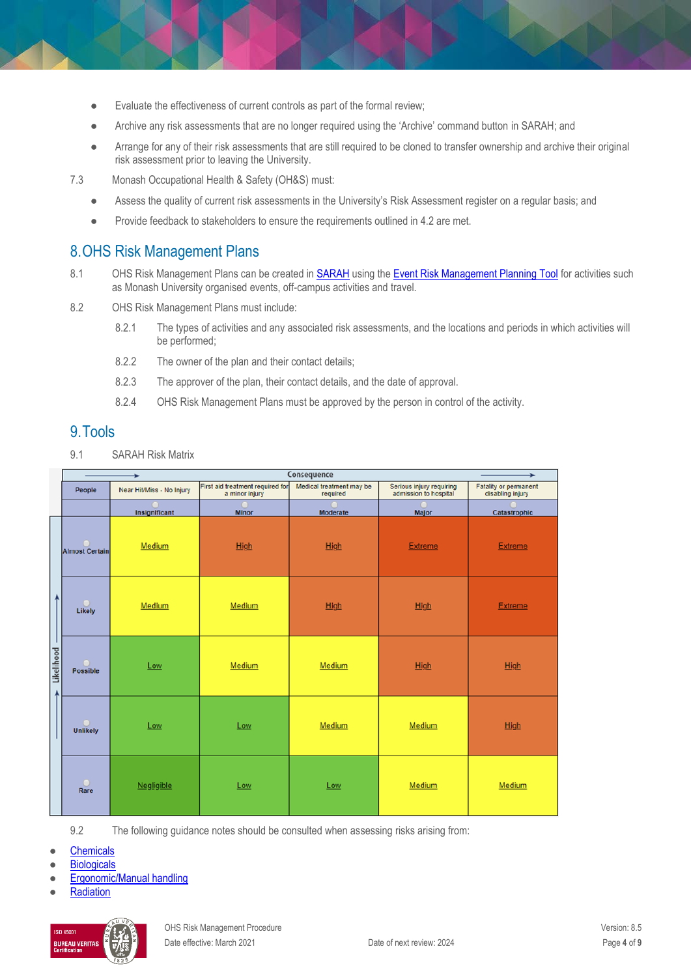- Evaluate the effectiveness of current controls as part of the formal review;
- Archive any risk assessments that are no longer required using the 'Archive' command button i[n SARAH;](https://www.monash.edu/__data/assets/pdf_file/0006/2353713/Quick-Guide-Reviewing-a-risk-assessments-in-SARAH.pdf) and
- Arrange for any of their risk assessments that are still required to be cloned to transfer ownership and archive their original risk assessment prior to leaving the University.
- 7.3 Monash Occupational Health & Safety (OH&S) must:
	- Assess the quality of current risk assessments in the University's Risk Assessment register on a regular basis; and
	- Provide feedback to stakeholders to ensure the requirements outlined in 4.2 are met.

#### 8.OHS Risk Management Plans

- 8.1 OHS Risk Management Plans can be created in [SARAH](https://www.monash.edu/ohs/sarah) using the [Event Risk Management Planning Tool](https://www.monash.edu/ohs/sarah/report-incident-hazard/event-risk-management-planning) for activities such as Monash University organised events, off-campus activities and travel.
- 8.2 OHS Risk Management Plans must include:
	- 8.2.1 The types of activities and any associated risk assessments, and the locations and periods in which activities will be performed;
	- 8.2.2 The owner of the plan and their contact details;
	- 8.2.3 The approver of the plan, their contact details, and the date of approval.
	- 8.2.4 OHS Risk Management Plans must be approved by the person in control of the activity.

#### 9.Tools

9.1 SARAH Risk Matrix

|                           |                       |                           | Consequence                                        |                                      | ÷                                                 |                                                  |
|---------------------------|-----------------------|---------------------------|----------------------------------------------------|--------------------------------------|---------------------------------------------------|--------------------------------------------------|
|                           | People                | Near Hit/Miss - No Injury | First aid treatment required for<br>a minor injury | Medical treatment may be<br>required | Serious injury requiring<br>admission to hospital | <b>Fatality or permanent</b><br>disabling injury |
|                           |                       | Insignificant             | <b>Minor</b>                                       | Moderate                             | Major                                             | Catastrophic                                     |
| 4<br>ı<br>Likelihood<br>Z | <b>Almost Certain</b> | Medium                    | High                                               | High                                 | <b>Extreme</b>                                    | <b>Extreme</b>                                   |
|                           | $\Box$<br>Likely      | Medium                    | Medium                                             | High                                 | <b>High</b>                                       | <b>Extreme</b>                                   |
|                           | <b>Possible</b>       | Low                       | Medium                                             | Medium                               | High                                              | High                                             |
|                           | <b>Unlikely</b>       | Low                       | Low                                                | Medium                               | Medium                                            | High                                             |
|                           | $\bigcirc$<br>Rare    | Negligible                | Low                                                | Low                                  | Medium                                            | Medium                                           |

9.2 The following guidance notes should be consulted when assessing risks arising from:

**[Chemicals](https://www.monash.edu/__data/assets/pdf_file/0004/189517/risk-management-chemical.pdf)** 

- **[Biologicals](https://www.monash.edu/__data/assets/pdf_file/0010/189523/risk-management-biological.pdf)**
- **[Ergonomic/Manual handling](https://www.monash.edu/__data/assets/pdf_file/0011/189515/risk-management-ergo.pdf)**

**[Radiation](https://www.monash.edu/__data/assets/pdf_file/0009/189522/risk-management-radiation.pdf)** 

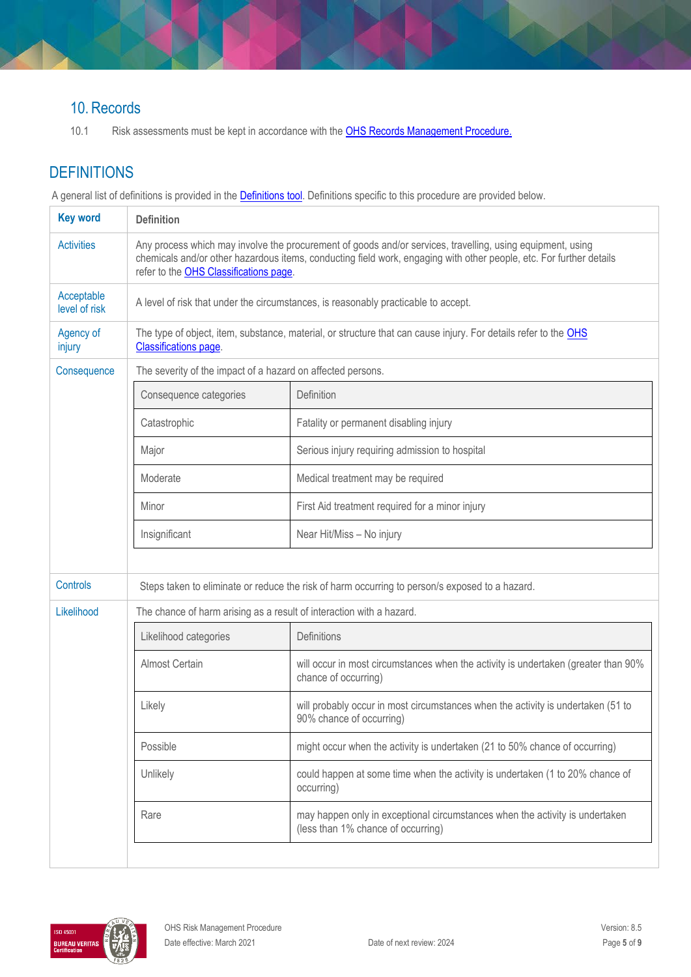#### 10. Records

10.1 Risk assessments must be kept in accordance with the **OHS Records Management Procedure.** 

# **DEFINITIONS**

A general list of definitions is provided in the **Definitions tool**. Definitions specific to this procedure are provided below.

| <b>Key word</b>             | <b>Definition</b>                                                                                                                                                                                                                                                           |                                                                                                                    |  |
|-----------------------------|-----------------------------------------------------------------------------------------------------------------------------------------------------------------------------------------------------------------------------------------------------------------------------|--------------------------------------------------------------------------------------------------------------------|--|
| <b>Activities</b>           | Any process which may involve the procurement of goods and/or services, travelling, using equipment, using<br>chemicals and/or other hazardous items, conducting field work, engaging with other people, etc. For further details<br>refer to the OHS Classifications page. |                                                                                                                    |  |
| Acceptable<br>level of risk |                                                                                                                                                                                                                                                                             | A level of risk that under the circumstances, is reasonably practicable to accept.                                 |  |
| Agency of<br>injury         | The type of object, item, substance, material, or structure that can cause injury. For details refer to the OHS<br><b>Classifications page.</b>                                                                                                                             |                                                                                                                    |  |
| Consequence                 | The severity of the impact of a hazard on affected persons.                                                                                                                                                                                                                 |                                                                                                                    |  |
|                             | Consequence categories                                                                                                                                                                                                                                                      | Definition                                                                                                         |  |
|                             | Catastrophic                                                                                                                                                                                                                                                                | Fatality or permanent disabling injury                                                                             |  |
|                             | Major                                                                                                                                                                                                                                                                       | Serious injury requiring admission to hospital                                                                     |  |
|                             | Moderate                                                                                                                                                                                                                                                                    | Medical treatment may be required                                                                                  |  |
|                             | Minor                                                                                                                                                                                                                                                                       | First Aid treatment required for a minor injury                                                                    |  |
|                             | Insignificant                                                                                                                                                                                                                                                               | Near Hit/Miss - No injury                                                                                          |  |
|                             |                                                                                                                                                                                                                                                                             |                                                                                                                    |  |
| Controls                    | Steps taken to eliminate or reduce the risk of harm occurring to person/s exposed to a hazard.                                                                                                                                                                              |                                                                                                                    |  |
| Likelihood                  | The chance of harm arising as a result of interaction with a hazard.                                                                                                                                                                                                        |                                                                                                                    |  |
|                             | Likelihood categories                                                                                                                                                                                                                                                       | Definitions                                                                                                        |  |
|                             | Almost Certain                                                                                                                                                                                                                                                              | will occur in most circumstances when the activity is undertaken (greater than 90%<br>chance of occurring)         |  |
|                             | Likely                                                                                                                                                                                                                                                                      | will probably occur in most circumstances when the activity is undertaken (51 to<br>90% chance of occurring)       |  |
|                             | Possible                                                                                                                                                                                                                                                                    | might occur when the activity is undertaken (21 to 50% chance of occurring)                                        |  |
|                             | Unlikely                                                                                                                                                                                                                                                                    | could happen at some time when the activity is undertaken (1 to 20% chance of<br>occurring)                        |  |
|                             | Rare                                                                                                                                                                                                                                                                        | may happen only in exceptional circumstances when the activity is undertaken<br>(less than 1% chance of occurring) |  |
|                             |                                                                                                                                                                                                                                                                             |                                                                                                                    |  |

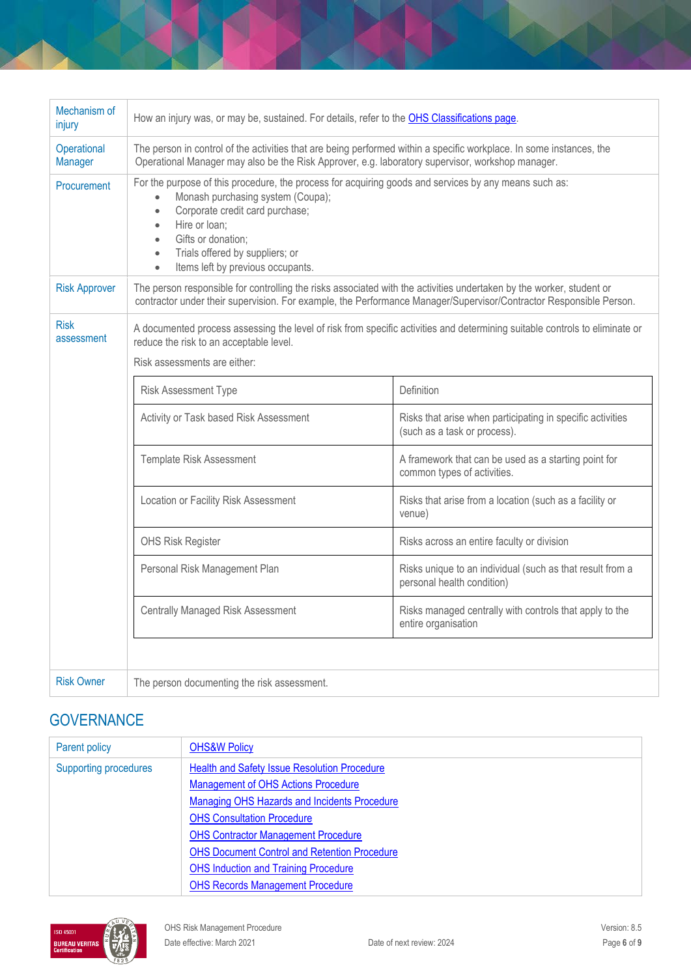| Mechanism of<br>injury    | How an injury was, or may be, sustained. For details, refer to the OHS Classifications page.                                                                                                                                                                                                                                                                               |                                                                                            |  |
|---------------------------|----------------------------------------------------------------------------------------------------------------------------------------------------------------------------------------------------------------------------------------------------------------------------------------------------------------------------------------------------------------------------|--------------------------------------------------------------------------------------------|--|
| Operational<br>Manager    | The person in control of the activities that are being performed within a specific workplace. In some instances, the<br>Operational Manager may also be the Risk Approver, e.g. laboratory supervisor, workshop manager.                                                                                                                                                   |                                                                                            |  |
| Procurement               | For the purpose of this procedure, the process for acquiring goods and services by any means such as:<br>Monash purchasing system (Coupa);<br>$\bullet$<br>Corporate credit card purchase;<br>$\bullet$<br>Hire or loan;<br>$\bullet$<br>Gifts or donation;<br>$\bullet$<br>Trials offered by suppliers; or<br>$\bullet$<br>Items left by previous occupants.<br>$\bullet$ |                                                                                            |  |
| <b>Risk Approver</b>      | The person responsible for controlling the risks associated with the activities undertaken by the worker, student or<br>contractor under their supervision. For example, the Performance Manager/Supervisor/Contractor Responsible Person.                                                                                                                                 |                                                                                            |  |
| <b>Risk</b><br>assessment | A documented process assessing the level of risk from specific activities and determining suitable controls to eliminate or<br>reduce the risk to an acceptable level.<br>Risk assessments are either:                                                                                                                                                                     |                                                                                            |  |
|                           | Risk Assessment Type                                                                                                                                                                                                                                                                                                                                                       | Definition                                                                                 |  |
|                           | Activity or Task based Risk Assessment                                                                                                                                                                                                                                                                                                                                     | Risks that arise when participating in specific activities<br>(such as a task or process). |  |
|                           | Template Risk Assessment                                                                                                                                                                                                                                                                                                                                                   | A framework that can be used as a starting point for<br>common types of activities.        |  |
|                           | Location or Facility Risk Assessment                                                                                                                                                                                                                                                                                                                                       | Risks that arise from a location (such as a facility or<br>venue)                          |  |
|                           | <b>OHS Risk Register</b>                                                                                                                                                                                                                                                                                                                                                   | Risks across an entire faculty or division                                                 |  |
|                           | Personal Risk Management Plan                                                                                                                                                                                                                                                                                                                                              | Risks unique to an individual (such as that result from a<br>personal health condition)    |  |
|                           | <b>Centrally Managed Risk Assessment</b>                                                                                                                                                                                                                                                                                                                                   | Risks managed centrally with controls that apply to the<br>entire organisation             |  |
|                           |                                                                                                                                                                                                                                                                                                                                                                            |                                                                                            |  |
| <b>Risk Owner</b>         | The person documenting the risk assessment.                                                                                                                                                                                                                                                                                                                                |                                                                                            |  |

# **GOVERNANCE**

| Parent policy                                                                | <b>OHS&amp;W Policy</b>                             |
|------------------------------------------------------------------------------|-----------------------------------------------------|
| <b>Health and Safety Issue Resolution Procedure</b><br>Supporting procedures |                                                     |
|                                                                              | <b>Management of OHS Actions Procedure</b>          |
|                                                                              | Managing OHS Hazards and Incidents Procedure        |
|                                                                              | <b>OHS Consultation Procedure</b>                   |
|                                                                              | <b>OHS Contractor Management Procedure</b>          |
|                                                                              | <b>OHS Document Control and Retention Procedure</b> |
|                                                                              | <b>OHS Induction and Training Procedure</b>         |
|                                                                              | <b>OHS Records Management Procedure</b>             |

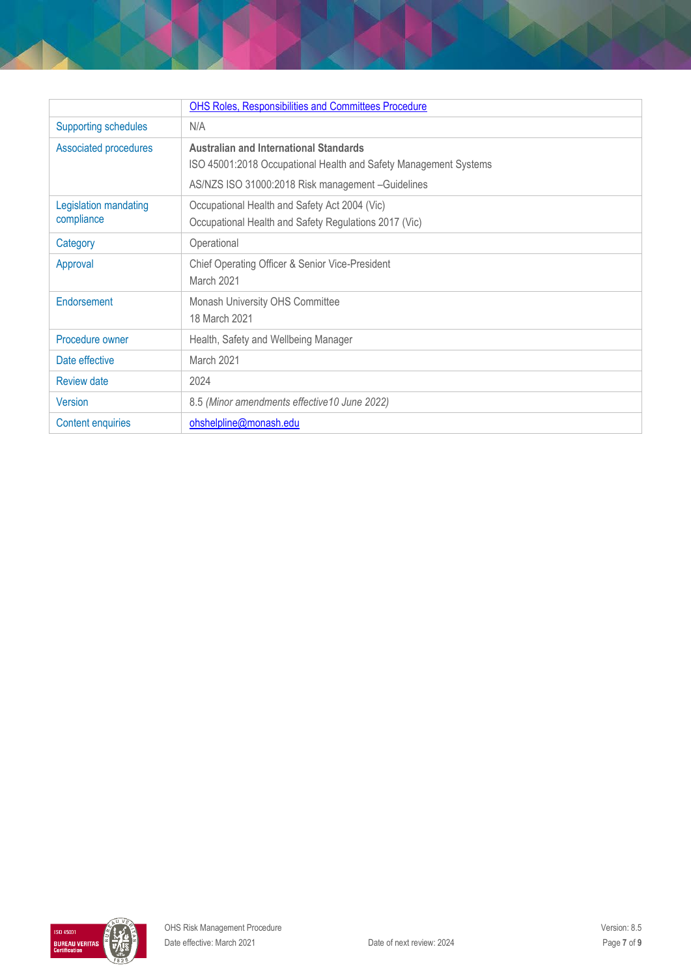|                             | <b>OHS Roles, Responsibilities and Committees Procedure</b>      |
|-----------------------------|------------------------------------------------------------------|
| <b>Supporting schedules</b> | N/A                                                              |
| Associated procedures       | <b>Australian and International Standards</b>                    |
|                             | ISO 45001:2018 Occupational Health and Safety Management Systems |
|                             | AS/NZS ISO 31000:2018 Risk management -Guidelines                |
| Legislation mandating       | Occupational Health and Safety Act 2004 (Vic)                    |
| compliance                  | Occupational Health and Safety Regulations 2017 (Vic)            |
| Operational<br>Category     |                                                                  |
| Approval                    | Chief Operating Officer & Senior Vice-President                  |
|                             | March 2021                                                       |
| Endorsement                 | Monash University OHS Committee                                  |
|                             | 18 March 2021                                                    |
| Procedure owner             | Health, Safety and Wellbeing Manager                             |
| Date effective              | March 2021                                                       |
| <b>Review date</b>          | 2024                                                             |
| Version                     | 8.5 (Minor amendments effective 10 June 2022)                    |
| <b>Content enquiries</b>    | ohshelpline@monash.edu                                           |

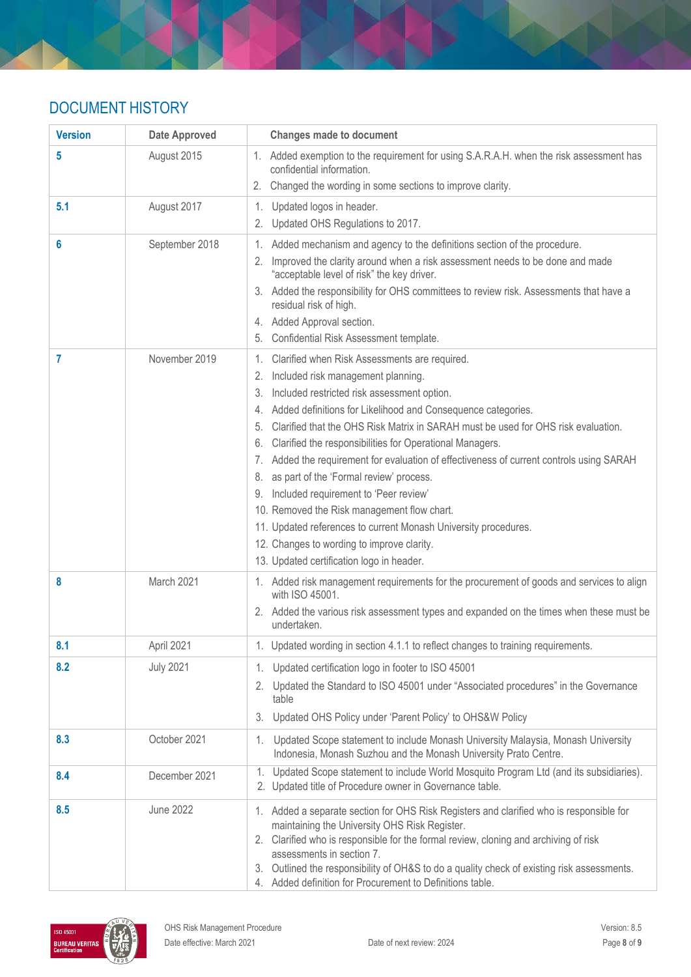# DOCUMENT HISTORY

| <b>Version</b> | <b>Date Approved</b> | <b>Changes made to document</b>                                                                                                                                                                                                                                                                                                                                                                                          |  |
|----------------|----------------------|--------------------------------------------------------------------------------------------------------------------------------------------------------------------------------------------------------------------------------------------------------------------------------------------------------------------------------------------------------------------------------------------------------------------------|--|
| 5              | August 2015          | 1. Added exemption to the requirement for using S.A.R.A.H. when the risk assessment has<br>confidential information.                                                                                                                                                                                                                                                                                                     |  |
|                |                      | 2. Changed the wording in some sections to improve clarity.                                                                                                                                                                                                                                                                                                                                                              |  |
| 5.1            | August 2017          | 1. Updated logos in header.                                                                                                                                                                                                                                                                                                                                                                                              |  |
|                |                      | 2. Updated OHS Regulations to 2017.                                                                                                                                                                                                                                                                                                                                                                                      |  |
| 6              | September 2018       | Added mechanism and agency to the definitions section of the procedure.<br>1.                                                                                                                                                                                                                                                                                                                                            |  |
|                |                      | Improved the clarity around when a risk assessment needs to be done and made<br>"acceptable level of risk" the key driver.                                                                                                                                                                                                                                                                                               |  |
|                |                      | 3. Added the responsibility for OHS committees to review risk. Assessments that have a<br>residual risk of high.                                                                                                                                                                                                                                                                                                         |  |
|                |                      | 4. Added Approval section.                                                                                                                                                                                                                                                                                                                                                                                               |  |
|                |                      | Confidential Risk Assessment template.<br>5.                                                                                                                                                                                                                                                                                                                                                                             |  |
| 7              | November 2019        | Clarified when Risk Assessments are required.<br>1.                                                                                                                                                                                                                                                                                                                                                                      |  |
|                |                      | 2. Included risk management planning.                                                                                                                                                                                                                                                                                                                                                                                    |  |
|                |                      | Included restricted risk assessment option.                                                                                                                                                                                                                                                                                                                                                                              |  |
|                |                      | 4. Added definitions for Likelihood and Consequence categories.                                                                                                                                                                                                                                                                                                                                                          |  |
|                |                      | Clarified that the OHS Risk Matrix in SARAH must be used for OHS risk evaluation.<br>5.                                                                                                                                                                                                                                                                                                                                  |  |
|                |                      | Clarified the responsibilities for Operational Managers.<br>6.                                                                                                                                                                                                                                                                                                                                                           |  |
|                |                      | 7. Added the requirement for evaluation of effectiveness of current controls using SARAH                                                                                                                                                                                                                                                                                                                                 |  |
|                |                      | as part of the 'Formal review' process.<br>8.<br>9. Included requirement to 'Peer review'                                                                                                                                                                                                                                                                                                                                |  |
|                |                      | 10. Removed the Risk management flow chart.                                                                                                                                                                                                                                                                                                                                                                              |  |
|                |                      | 11. Updated references to current Monash University procedures.                                                                                                                                                                                                                                                                                                                                                          |  |
|                |                      | 12. Changes to wording to improve clarity.                                                                                                                                                                                                                                                                                                                                                                               |  |
|                |                      | 13. Updated certification logo in header.                                                                                                                                                                                                                                                                                                                                                                                |  |
| 8              | March 2021           | 1. Added risk management requirements for the procurement of goods and services to align<br>with ISO 45001.                                                                                                                                                                                                                                                                                                              |  |
|                |                      | 2. Added the various risk assessment types and expanded on the times when these must be<br>undertaken.                                                                                                                                                                                                                                                                                                                   |  |
| 8.1            | April 2021           | 1. Updated wording in section 4.1.1 to reflect changes to training requirements.                                                                                                                                                                                                                                                                                                                                         |  |
| 8.2            | <b>July 2021</b>     | 1. Updated certification logo in footer to ISO 45001                                                                                                                                                                                                                                                                                                                                                                     |  |
|                |                      | 2. Updated the Standard to ISO 45001 under "Associated procedures" in the Governance<br>table                                                                                                                                                                                                                                                                                                                            |  |
|                |                      | 3. Updated OHS Policy under 'Parent Policy' to OHS&W Policy                                                                                                                                                                                                                                                                                                                                                              |  |
| 8.3            | October 2021         | Updated Scope statement to include Monash University Malaysia, Monash University<br>1.<br>Indonesia, Monash Suzhou and the Monash University Prato Centre.                                                                                                                                                                                                                                                               |  |
| 8.4            | December 2021        | 1. Updated Scope statement to include World Mosquito Program Ltd (and its subsidiaries).<br>2. Updated title of Procedure owner in Governance table.                                                                                                                                                                                                                                                                     |  |
| 8.5            | <b>June 2022</b>     | 1. Added a separate section for OHS Risk Registers and clarified who is responsible for<br>maintaining the University OHS Risk Register.<br>2. Clarified who is responsible for the formal review, cloning and archiving of risk<br>assessments in section 7.<br>3. Outlined the responsibility of OH&S to do a quality check of existing risk assessments.<br>4. Added definition for Procurement to Definitions table. |  |